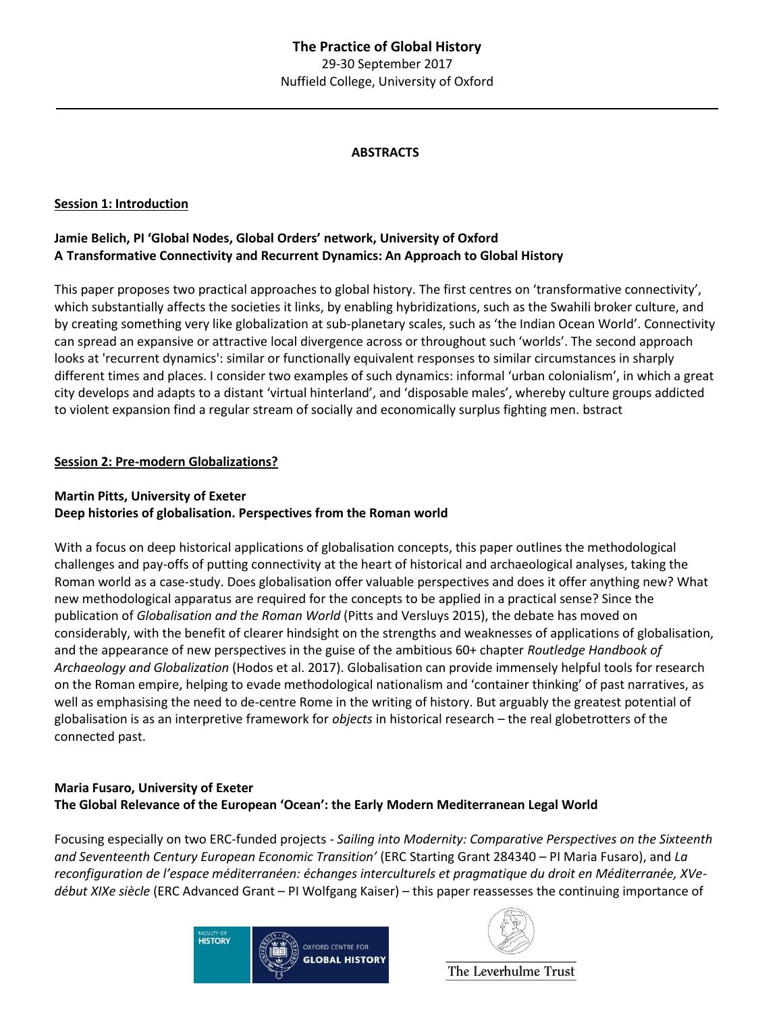#### **ABSTRACTS**

#### **Session 1: Introduction**

### **Jamie Belich, PI 'Global Nodes, Global Orders' network, University of Oxford A Transformative Connectivity and Recurrent Dynamics: An Approach to Global History**

This paper proposes two practical approaches to global history. The first centres on 'transformative connectivity', which substantially affects the societies it links, by enabling hybridizations, such as the Swahili broker culture, and by creating something very like globalization at sub-planetary scales, such as 'the Indian Ocean World'. Connectivity can spread an expansive or attractive local divergence across or throughout such 'worlds'. The second approach looks at 'recurrent dynamics': similar or functionally equivalent responses to similar circumstances in sharply different times and places. I consider two examples of such dynamics: informal 'urban colonialism', in which a great city develops and adapts to a distant 'virtual hinterland', and 'disposable males', whereby culture groups addicted to violent expansion find a regular stream of socially and economically surplus fighting men. bstract

#### **Session 2: Pre-modern Globalizations?**

#### **Martin Pitts, University of Exeter**

#### **Deep histories of globalisation. Perspectives from the Roman world**

With a focus on deep historical applications of globalisation concepts, this paper outlines the methodological challenges and pay-offs of putting connectivity at the heart of historical and archaeological analyses, taking the Roman world as a case-study. Does globalisation offer valuable perspectives and does it offer anything new? What new methodological apparatus are required for the concepts to be applied in a practical sense? Since the publication of *Globalisation and the Roman World* (Pitts and Versluys 2015), the debate has moved on considerably, with the benefit of clearer hindsight on the strengths and weaknesses of applications of globalisation, and the appearance of new perspectives in the guise of the ambitious 60+ chapter *Routledge Handbook of Archaeology and Globalization* (Hodos et al. 2017). Globalisation can provide immensely helpful tools for research on the Roman empire, helping to evade methodological nationalism and 'container thinking' of past narratives, as well as emphasising the need to de-centre Rome in the writing of history. But arguably the greatest potential of globalisation is as an interpretive framework for *objects* in historical research – the real globetrotters of the connected past.

#### **Maria Fusaro, University of Exeter The Global Relevance of the European 'Ocean': the Early Modern Mediterranean Legal World**

Focusing especially on two ERC-funded projects - *Sailing into Modernity: Comparative Perspectives on the Sixteenth and Seventeenth Century European Economic Transition'* (ERC Starting Grant 284340 – PI Maria Fusaro), and *La reconfiguration de l'espace méditerranéen: échanges interculturels et pragmatique du droit en Méditerranée, XVedébut XIXe siècle* (ERC Advanced Grant – PI Wolfgang Kaiser) – this paper reassesses the continuing importance of



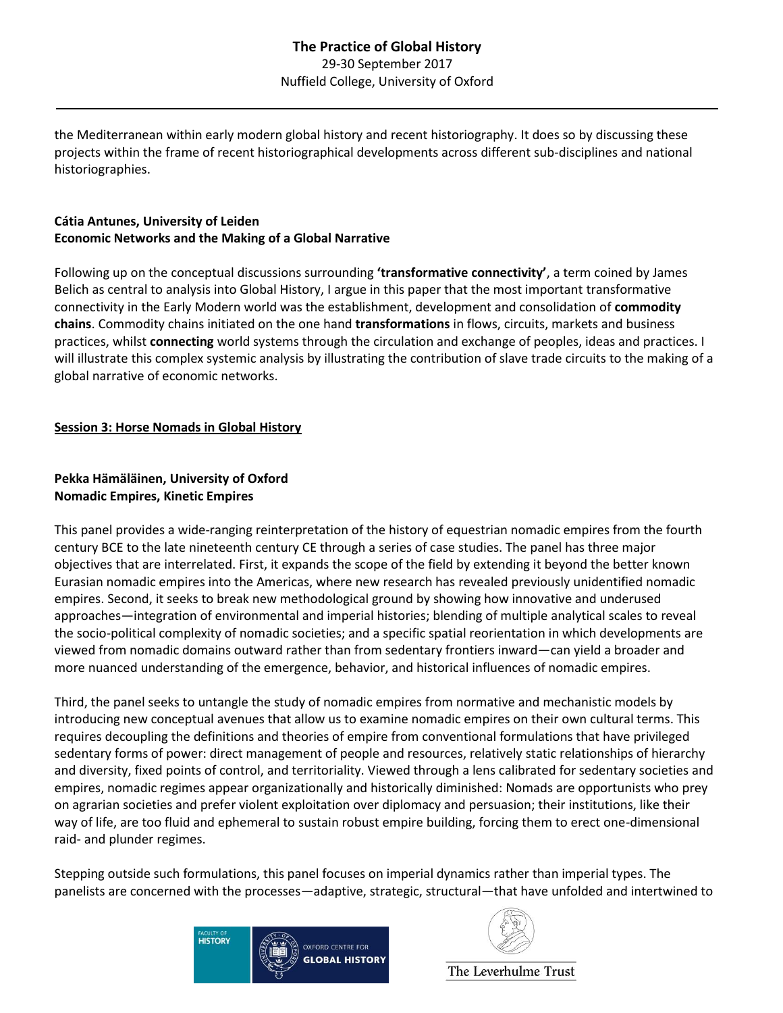the Mediterranean within early modern global history and recent historiography. It does so by discussing these projects within the frame of recent historiographical developments across different sub-disciplines and national historiographies.

# **Cátia Antunes, University of Leiden Economic Networks and the Making of a Global Narrative**

Following up on the conceptual discussions surrounding **'transformative connectivity'**, a term coined by James Belich as central to analysis into Global History, I argue in this paper that the most important transformative connectivity in the Early Modern world was the establishment, development and consolidation of **commodity chains**. Commodity chains initiated on the one hand **transformations** in flows, circuits, markets and business practices, whilst **connecting** world systems through the circulation and exchange of peoples, ideas and practices. I will illustrate this complex systemic analysis by illustrating the contribution of slave trade circuits to the making of a global narrative of economic networks.

## **Session 3: Horse Nomads in Global History**

## **Pekka Hämäläinen, University of Oxford Nomadic Empires, Kinetic Empires**

This panel provides a wide-ranging reinterpretation of the history of equestrian nomadic empires from the fourth century BCE to the late nineteenth century CE through a series of case studies. The panel has three major objectives that are interrelated. First, it expands the scope of the field by extending it beyond the better known Eurasian nomadic empires into the Americas, where new research has revealed previously unidentified nomadic empires. Second, it seeks to break new methodological ground by showing how innovative and underused approaches—integration of environmental and imperial histories; blending of multiple analytical scales to reveal the socio-political complexity of nomadic societies; and a specific spatial reorientation in which developments are viewed from nomadic domains outward rather than from sedentary frontiers inward—can yield a broader and more nuanced understanding of the emergence, behavior, and historical influences of nomadic empires.

Third, the panel seeks to untangle the study of nomadic empires from normative and mechanistic models by introducing new conceptual avenues that allow us to examine nomadic empires on their own cultural terms. This requires decoupling the definitions and theories of empire from conventional formulations that have privileged sedentary forms of power: direct management of people and resources, relatively static relationships of hierarchy and diversity, fixed points of control, and territoriality. Viewed through a lens calibrated for sedentary societies and empires, nomadic regimes appear organizationally and historically diminished: Nomads are opportunists who prey on agrarian societies and prefer violent exploitation over diplomacy and persuasion; their institutions, like their way of life, are too fluid and ephemeral to sustain robust empire building, forcing them to erect one-dimensional raid- and plunder regimes.

Stepping outside such formulations, this panel focuses on imperial dynamics rather than imperial types. The panelists are concerned with the processes—adaptive, strategic, structural—that have unfolded and intertwined to



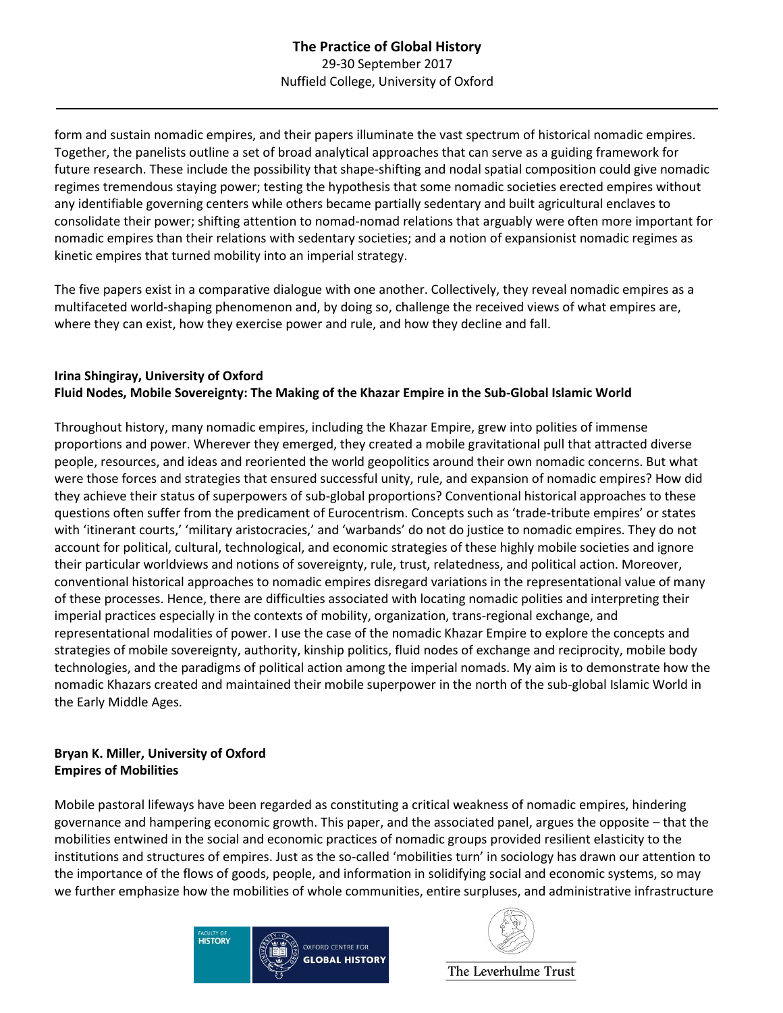form and sustain nomadic empires, and their papers illuminate the vast spectrum of historical nomadic empires. Together, the panelists outline a set of broad analytical approaches that can serve as a guiding framework for future research. These include the possibility that shape-shifting and nodal spatial composition could give nomadic regimes tremendous staying power; testing the hypothesis that some nomadic societies erected empires without any identifiable governing centers while others became partially sedentary and built agricultural enclaves to consolidate their power; shifting attention to nomad-nomad relations that arguably were often more important for nomadic empires than their relations with sedentary societies; and a notion of expansionist nomadic regimes as kinetic empires that turned mobility into an imperial strategy.

The five papers exist in a comparative dialogue with one another. Collectively, they reveal nomadic empires as a multifaceted world-shaping phenomenon and, by doing so, challenge the received views of what empires are, where they can exist, how they exercise power and rule, and how they decline and fall.

### **Irina Shingiray, University of Oxford Fluid Nodes, Mobile Sovereignty: The Making of the Khazar Empire in the Sub-Global Islamic World**

Throughout history, many nomadic empires, including the Khazar Empire, grew into polities of immense proportions and power. Wherever they emerged, they created a mobile gravitational pull that attracted diverse people, resources, and ideas and reoriented the world geopolitics around their own nomadic concerns. But what were those forces and strategies that ensured successful unity, rule, and expansion of nomadic empires? How did they achieve their status of superpowers of sub-global proportions? Conventional historical approaches to these questions often suffer from the predicament of Eurocentrism. Concepts such as 'trade-tribute empires' or states with 'itinerant courts,' 'military aristocracies,' and 'warbands' do not do justice to nomadic empires. They do not account for political, cultural, technological, and economic strategies of these highly mobile societies and ignore their particular worldviews and notions of sovereignty, rule, trust, relatedness, and political action. Moreover, conventional historical approaches to nomadic empires disregard variations in the representational value of many of these processes. Hence, there are difficulties associated with locating nomadic polities and interpreting their imperial practices especially in the contexts of mobility, organization, trans-regional exchange, and representational modalities of power. I use the case of the nomadic Khazar Empire to explore the concepts and strategies of mobile sovereignty, authority, kinship politics, fluid nodes of exchange and reciprocity, mobile body technologies, and the paradigms of political action among the imperial nomads. My aim is to demonstrate how the nomadic Khazars created and maintained their mobile superpower in the north of the sub-global Islamic World in the Early Middle Ages.

#### **Bryan K. Miller, University of Oxford Empires of Mobilities**

Mobile pastoral lifeways have been regarded as constituting a critical weakness of nomadic empires, hindering governance and hampering economic growth. This paper, and the associated panel, argues the opposite – that the mobilities entwined in the social and economic practices of nomadic groups provided resilient elasticity to the institutions and structures of empires. Just as the so-called 'mobilities turn' in sociology has drawn our attention to the importance of the flows of goods, people, and information in solidifying social and economic systems, so may we further emphasize how the mobilities of whole communities, entire surpluses, and administrative infrastructure



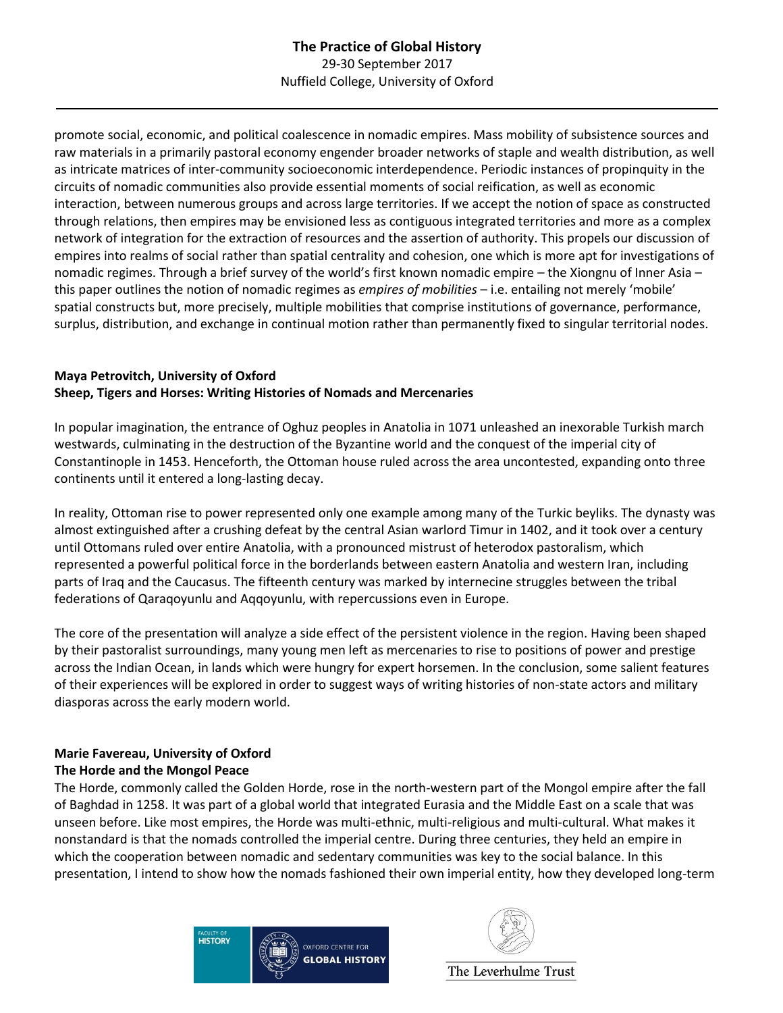promote social, economic, and political coalescence in nomadic empires. Mass mobility of subsistence sources and raw materials in a primarily pastoral economy engender broader networks of staple and wealth distribution, as well as intricate matrices of inter-community socioeconomic interdependence. Periodic instances of propinquity in the circuits of nomadic communities also provide essential moments of social reification, as well as economic interaction, between numerous groups and across large territories. If we accept the notion of space as constructed through relations, then empires may be envisioned less as contiguous integrated territories and more as a complex network of integration for the extraction of resources and the assertion of authority. This propels our discussion of empires into realms of social rather than spatial centrality and cohesion, one which is more apt for investigations of nomadic regimes. Through a brief survey of the world's first known nomadic empire – the Xiongnu of Inner Asia – this paper outlines the notion of nomadic regimes as *empires of mobilities* – i.e. entailing not merely 'mobile' spatial constructs but, more precisely, multiple mobilities that comprise institutions of governance, performance, surplus, distribution, and exchange in continual motion rather than permanently fixed to singular territorial nodes.

## **Maya Petrovitch, University of Oxford Sheep, Tigers and Horses: Writing Histories of Nomads and Mercenaries**

In popular imagination, the entrance of Oghuz peoples in Anatolia in 1071 unleashed an inexorable Turkish march westwards, culminating in the destruction of the Byzantine world and the conquest of the imperial city of Constantinople in 1453. Henceforth, the Ottoman house ruled across the area uncontested, expanding onto three continents until it entered a long-lasting decay.

In reality, Ottoman rise to power represented only one example among many of the Turkic beyliks. The dynasty was almost extinguished after a crushing defeat by the central Asian warlord Timur in 1402, and it took over a century until Ottomans ruled over entire Anatolia, with a pronounced mistrust of heterodox pastoralism, which represented a powerful political force in the borderlands between eastern Anatolia and western Iran, including parts of Iraq and the Caucasus. The fifteenth century was marked by internecine struggles between the tribal federations of Qaraqoyunlu and Aqqoyunlu, with repercussions even in Europe.

The core of the presentation will analyze a side effect of the persistent violence in the region. Having been shaped by their pastoralist surroundings, many young men left as mercenaries to rise to positions of power and prestige across the Indian Ocean, in lands which were hungry for expert horsemen. In the conclusion, some salient features of their experiences will be explored in order to suggest ways of writing histories of non-state actors and military diasporas across the early modern world.

### **Marie Favereau, University of Oxford The Horde and the Mongol Peace**

The Horde, commonly called the Golden Horde, rose in the north-western part of the Mongol empire after the fall of Baghdad in 1258. It was part of a global world that integrated Eurasia and the Middle East on a scale that was unseen before. Like most empires, the Horde was multi-ethnic, multi-religious and multi-cultural. What makes it nonstandard is that the nomads controlled the imperial centre. During three centuries, they held an empire in which the cooperation between nomadic and sedentary communities was key to the social balance. In this presentation, I intend to show how the nomads fashioned their own imperial entity, how they developed long-term



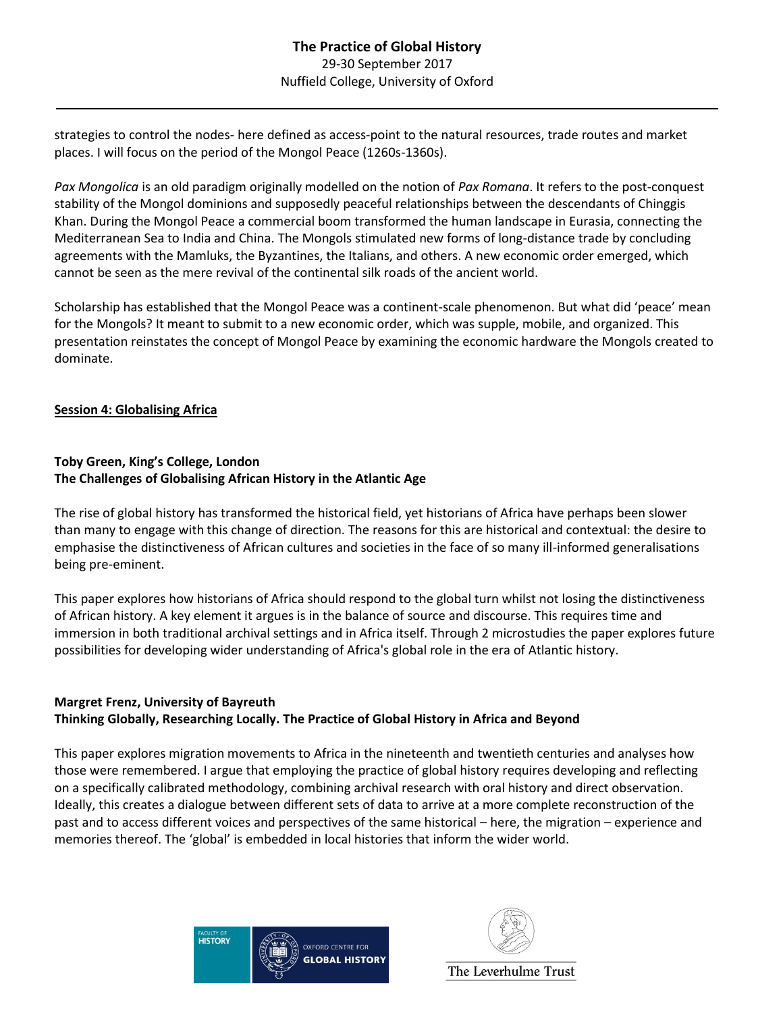strategies to control the nodes- here defined as access-point to the natural resources, trade routes and market places. I will focus on the period of the Mongol Peace (1260s-1360s).

*Pax Mongolica* is an old paradigm originally modelled on the notion of *Pax Romana*. It refers to the post-conquest stability of the Mongol dominions and supposedly peaceful relationships between the descendants of Chinggis Khan. During the Mongol Peace a commercial boom transformed the human landscape in Eurasia, connecting the Mediterranean Sea to India and China. The Mongols stimulated new forms of long-distance trade by concluding agreements with the Mamluks, the Byzantines, the Italians, and others. A new economic order emerged, which cannot be seen as the mere revival of the continental silk roads of the ancient world.

Scholarship has established that the Mongol Peace was a continent-scale phenomenon. But what did 'peace' mean for the Mongols? It meant to submit to a new economic order, which was supple, mobile, and organized. This presentation reinstates the concept of Mongol Peace by examining the economic hardware the Mongols created to dominate.

#### **Session 4: Globalising Africa**

#### **Toby Green, King's College, London The Challenges of Globalising African History in the Atlantic Age**

The rise of global history has transformed the historical field, yet historians of Africa have perhaps been slower than many to engage with this change of direction. The reasons for this are historical and contextual: the desire to emphasise the distinctiveness of African cultures and societies in the face of so many ill-informed generalisations being pre-eminent.

This paper explores how historians of Africa should respond to the global turn whilst not losing the distinctiveness of African history. A key element it argues is in the balance of source and discourse. This requires time and immersion in both traditional archival settings and in Africa itself. Through 2 microstudies the paper explores future possibilities for developing wider understanding of Africa's global role in the era of Atlantic history.

#### **Margret Frenz, University of Bayreuth Thinking Globally, Researching Locally. The Practice of Global History in Africa and Beyond**

This paper explores migration movements to Africa in the nineteenth and twentieth centuries and analyses how those were remembered. I argue that employing the practice of global history requires developing and reflecting on a specifically calibrated methodology, combining archival research with oral history and direct observation. Ideally, this creates a dialogue between different sets of data to arrive at a more complete reconstruction of the past and to access different voices and perspectives of the same historical – here, the migration – experience and memories thereof. The 'global' is embedded in local histories that inform the wider world.



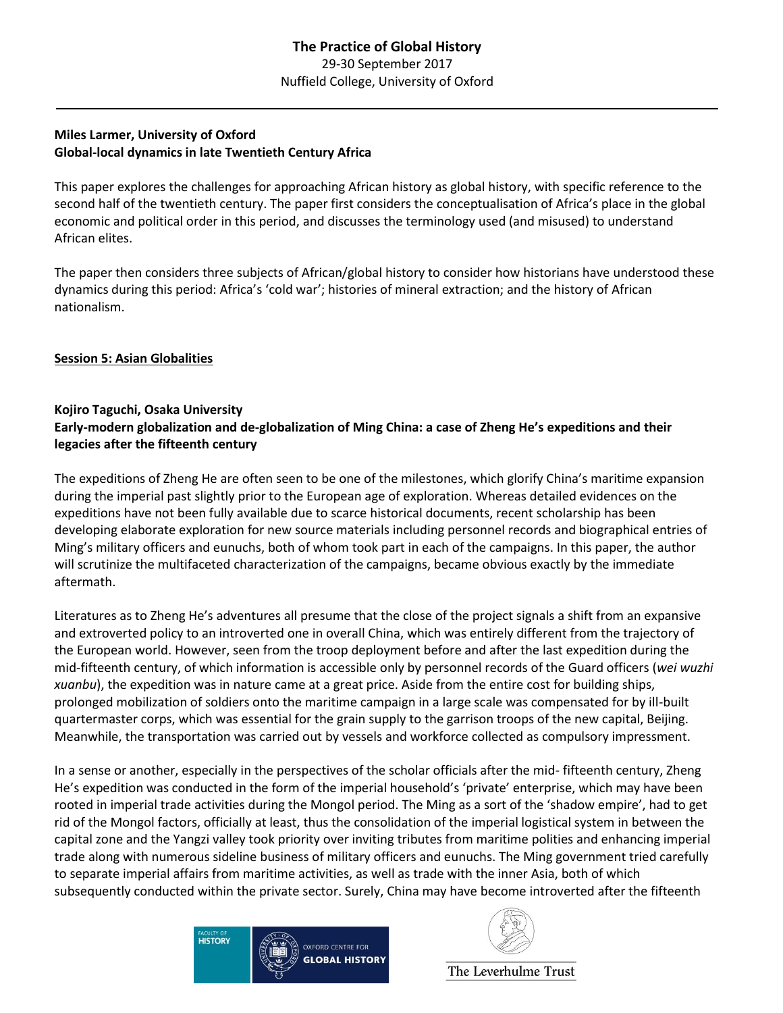## **Miles Larmer, University of Oxford Global-local dynamics in late Twentieth Century Africa**

This paper explores the challenges for approaching African history as global history, with specific reference to the second half of the twentieth century. The paper first considers the conceptualisation of Africa's place in the global economic and political order in this period, and discusses the terminology used (and misused) to understand African elites.

The paper then considers three subjects of African/global history to consider how historians have understood these dynamics during this period: Africa's 'cold war'; histories of mineral extraction; and the history of African nationalism.

### **Session 5: Asian Globalities**

#### **Kojiro Taguchi, Osaka University Early-modern globalization and de-globalization of Ming China: a case of Zheng He's expeditions and their legacies after the fifteenth century**

The expeditions of Zheng He are often seen to be one of the milestones, which glorify China's maritime expansion during the imperial past slightly prior to the European age of exploration. Whereas detailed evidences on the expeditions have not been fully available due to scarce historical documents, recent scholarship has been developing elaborate exploration for new source materials including personnel records and biographical entries of Ming's military officers and eunuchs, both of whom took part in each of the campaigns. In this paper, the author will scrutinize the multifaceted characterization of the campaigns, became obvious exactly by the immediate aftermath.

Literatures as to Zheng He's adventures all presume that the close of the project signals a shift from an expansive and extroverted policy to an introverted one in overall China, which was entirely different from the trajectory of the European world. However, seen from the troop deployment before and after the last expedition during the mid-fifteenth century, of which information is accessible only by personnel records of the Guard officers (*wei wuzhi xuanbu*), the expedition was in nature came at a great price. Aside from the entire cost for building ships, prolonged mobilization of soldiers onto the maritime campaign in a large scale was compensated for by ill-built quartermaster corps, which was essential for the grain supply to the garrison troops of the new capital, Beijing. Meanwhile, the transportation was carried out by vessels and workforce collected as compulsory impressment.

In a sense or another, especially in the perspectives of the scholar officials after the mid- fifteenth century, Zheng He's expedition was conducted in the form of the imperial household's 'private' enterprise, which may have been rooted in imperial trade activities during the Mongol period. The Ming as a sort of the 'shadow empire', had to get rid of the Mongol factors, officially at least, thus the consolidation of the imperial logistical system in between the capital zone and the Yangzi valley took priority over inviting tributes from maritime polities and enhancing imperial trade along with numerous sideline business of military officers and eunuchs. The Ming government tried carefully to separate imperial affairs from maritime activities, as well as trade with the inner Asia, both of which subsequently conducted within the private sector. Surely, China may have become introverted after the fifteenth



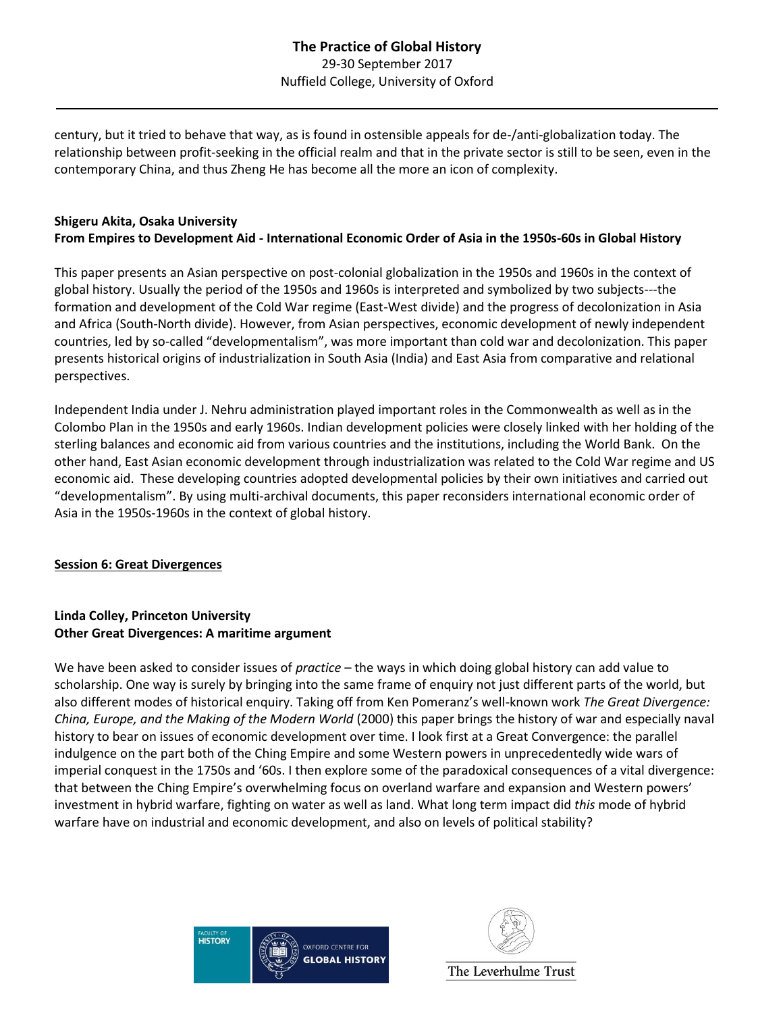century, but it tried to behave that way, as is found in ostensible appeals for de-/anti-globalization today. The relationship between profit-seeking in the official realm and that in the private sector is still to be seen, even in the contemporary China, and thus Zheng He has become all the more an icon of complexity.

## **Shigeru Akita, Osaka University From Empires to Development Aid - International Economic Order of Asia in the 1950s-60s in Global History**

This paper presents an Asian perspective on post-colonial globalization in the 1950s and 1960s in the context of global history. Usually the period of the 1950s and 1960s is interpreted and symbolized by two subjects---the formation and development of the Cold War regime (East-West divide) and the progress of decolonization in Asia and Africa (South-North divide). However, from Asian perspectives, economic development of newly independent countries, led by so-called "developmentalism", was more important than cold war and decolonization. This paper presents historical origins of industrialization in South Asia (India) and East Asia from comparative and relational perspectives.

Independent India under J. Nehru administration played important roles in the Commonwealth as well as in the Colombo Plan in the 1950s and early 1960s. Indian development policies were closely linked with her holding of the sterling balances and economic aid from various countries and the institutions, including the World Bank. On the other hand, East Asian economic development through industrialization was related to the Cold War regime and US economic aid. These developing countries adopted developmental policies by their own initiatives and carried out "developmentalism". By using multi-archival documents, this paper reconsiders international economic order of Asia in the 1950s-1960s in the context of global history.

#### **Session 6: Great Divergences**

### **Linda Colley, Princeton University Other Great Divergences: A maritime argument**

We have been asked to consider issues of *practice* – the ways in which doing global history can add value to scholarship. One way is surely by bringing into the same frame of enquiry not just different parts of the world, but also different modes of historical enquiry. Taking off from Ken Pomeranz's well-known work *The Great Divergence: China, Europe, and the Making of the Modern World* (2000) this paper brings the history of war and especially naval history to bear on issues of economic development over time. I look first at a Great Convergence: the parallel indulgence on the part both of the Ching Empire and some Western powers in unprecedentedly wide wars of imperial conquest in the 1750s and '60s. I then explore some of the paradoxical consequences of a vital divergence: that between the Ching Empire's overwhelming focus on overland warfare and expansion and Western powers' investment in hybrid warfare, fighting on water as well as land. What long term impact did *this* mode of hybrid warfare have on industrial and economic development, and also on levels of political stability?



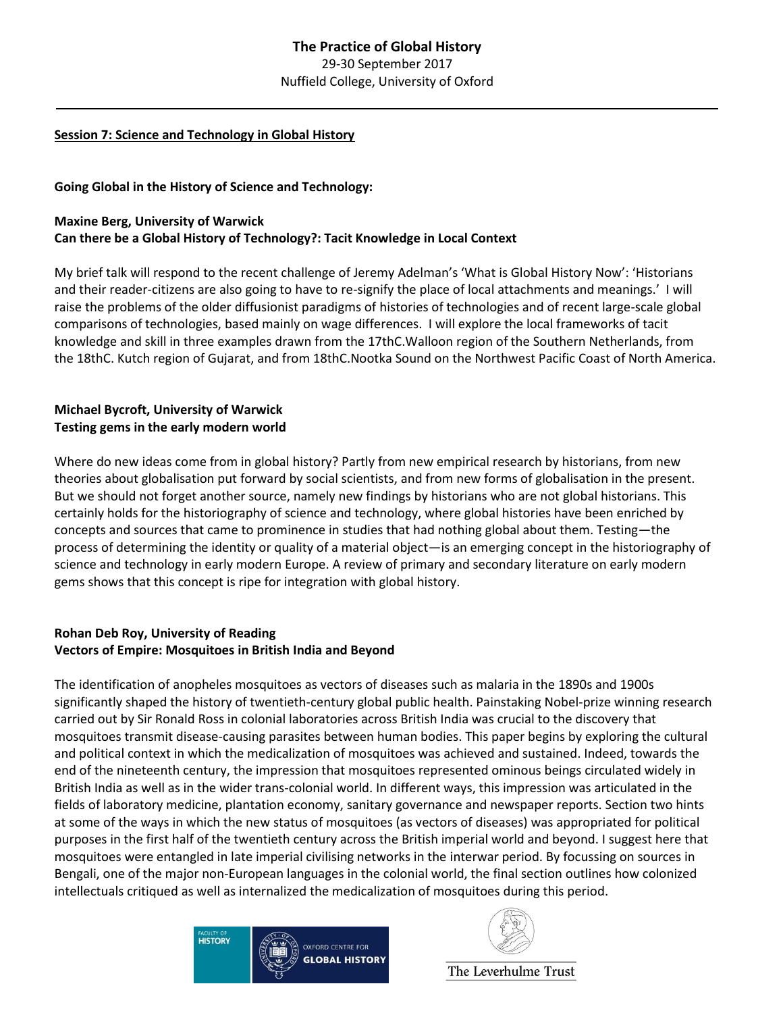#### **Session 7: Science and Technology in Global History**

**Going Global in the History of Science and Technology:**

## **Maxine Berg, University of Warwick Can there be a Global History of Technology?: Tacit Knowledge in Local Context**

My brief talk will respond to the recent challenge of Jeremy Adelman's 'What is Global History Now': 'Historians and their reader-citizens are also going to have to re-signify the place of local attachments and meanings.' I will raise the problems of the older diffusionist paradigms of histories of technologies and of recent large-scale global comparisons of technologies, based mainly on wage differences. I will explore the local frameworks of tacit knowledge and skill in three examples drawn from the 17thC.Walloon region of the Southern Netherlands, from the 18thC. Kutch region of Gujarat, and from 18thC.Nootka Sound on the Northwest Pacific Coast of North America.

### **Michael Bycroft, University of Warwick Testing gems in the early modern world**

Where do new ideas come from in global history? Partly from new empirical research by historians, from new theories about globalisation put forward by social scientists, and from new forms of globalisation in the present. But we should not forget another source, namely new findings by historians who are not global historians. This certainly holds for the historiography of science and technology, where global histories have been enriched by concepts and sources that came to prominence in studies that had nothing global about them. Testing—the process of determining the identity or quality of a material object—is an emerging concept in the historiography of science and technology in early modern Europe. A review of primary and secondary literature on early modern gems shows that this concept is ripe for integration with global history.

### **Rohan Deb Roy, University of Reading Vectors of Empire: Mosquitoes in British India and Beyond**

The identification of anopheles mosquitoes as vectors of diseases such as malaria in the 1890s and 1900s significantly shaped the history of twentieth-century global public health. Painstaking Nobel-prize winning research carried out by Sir Ronald Ross in colonial laboratories across British India was crucial to the discovery that mosquitoes transmit disease-causing parasites between human bodies. This paper begins by exploring the cultural and political context in which the medicalization of mosquitoes was achieved and sustained. Indeed, towards the end of the nineteenth century, the impression that mosquitoes represented ominous beings circulated widely in British India as well as in the wider trans-colonial world. In different ways, this impression was articulated in the fields of laboratory medicine, plantation economy, sanitary governance and newspaper reports. Section two hints at some of the ways in which the new status of mosquitoes (as vectors of diseases) was appropriated for political purposes in the first half of the twentieth century across the British imperial world and beyond. I suggest here that mosquitoes were entangled in late imperial civilising networks in the interwar period. By focussing on sources in Bengali, one of the major non-European languages in the colonial world, the final section outlines how colonized intellectuals critiqued as well as internalized the medicalization of mosquitoes during this period.



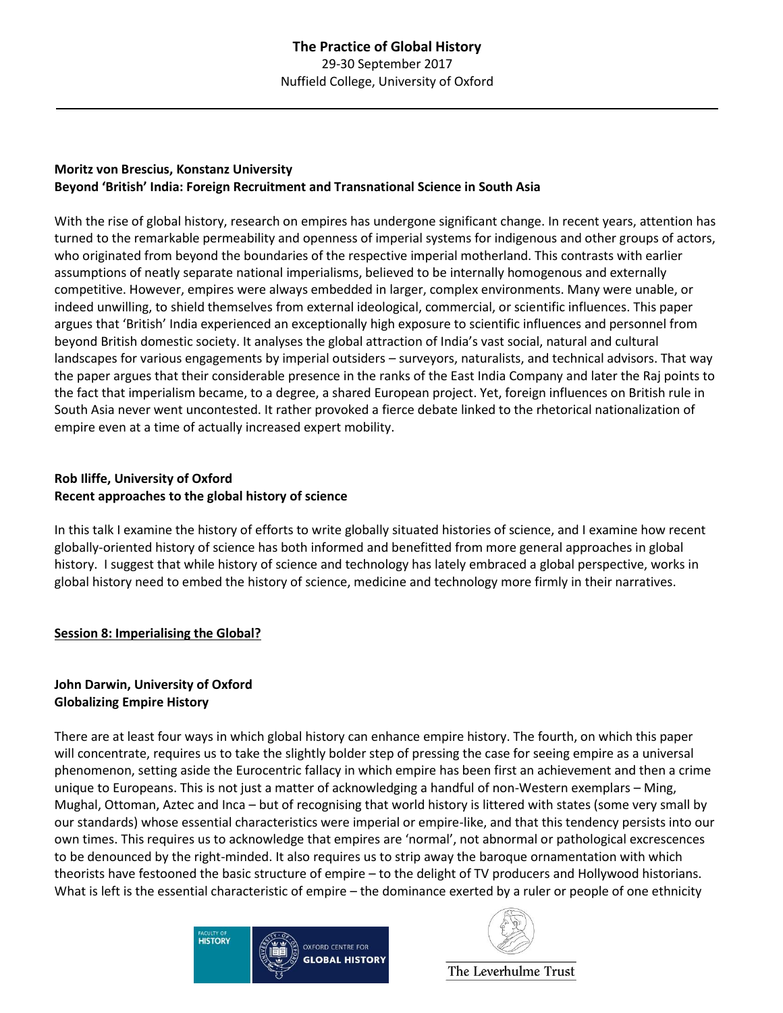## **Moritz von Brescius, Konstanz University Beyond 'British' India: Foreign Recruitment and Transnational Science in South Asia**

With the rise of global history, research on empires has undergone significant change. In recent years, attention has turned to the remarkable permeability and openness of imperial systems for indigenous and other groups of actors, who originated from beyond the boundaries of the respective imperial motherland. This contrasts with earlier assumptions of neatly separate national imperialisms, believed to be internally homogenous and externally competitive. However, empires were always embedded in larger, complex environments. Many were unable, or indeed unwilling, to shield themselves from external ideological, commercial, or scientific influences. This paper argues that 'British' India experienced an exceptionally high exposure to scientific influences and personnel from beyond British domestic society. It analyses the global attraction of India's vast social, natural and cultural landscapes for various engagements by imperial outsiders – surveyors, naturalists, and technical advisors. That way the paper argues that their considerable presence in the ranks of the East India Company and later the Raj points to the fact that imperialism became, to a degree, a shared European project. Yet, foreign influences on British rule in South Asia never went uncontested. It rather provoked a fierce debate linked to the rhetorical nationalization of empire even at a time of actually increased expert mobility.

## **Rob Iliffe, University of Oxford Recent approaches to the global history of science**

In this talk I examine the history of efforts to write globally situated histories of science, and I examine how recent globally-oriented history of science has both informed and benefitted from more general approaches in global history. I suggest that while history of science and technology has lately embraced a global perspective, works in global history need to embed the history of science, medicine and technology more firmly in their narratives.

### **Session 8: Imperialising the Global?**

#### **John Darwin, University of Oxford Globalizing Empire History**

There are at least four ways in which global history can enhance empire history. The fourth, on which this paper will concentrate, requires us to take the slightly bolder step of pressing the case for seeing empire as a universal phenomenon, setting aside the Eurocentric fallacy in which empire has been first an achievement and then a crime unique to Europeans. This is not just a matter of acknowledging a handful of non-Western exemplars – Ming, Mughal, Ottoman, Aztec and Inca – but of recognising that world history is littered with states (some very small by our standards) whose essential characteristics were imperial or empire-like, and that this tendency persists into our own times. This requires us to acknowledge that empires are 'normal', not abnormal or pathological excrescences to be denounced by the right-minded. It also requires us to strip away the baroque ornamentation with which theorists have festooned the basic structure of empire – to the delight of TV producers and Hollywood historians. What is left is the essential characteristic of empire – the dominance exerted by a ruler or people of one ethnicity

| <b>FACULTY OF</b> | <b>OXFORD CENTRE FOR</b> |
|-------------------|--------------------------|
| <b>HISTORY</b>    | <b>GLOBAL HISTORY</b>    |